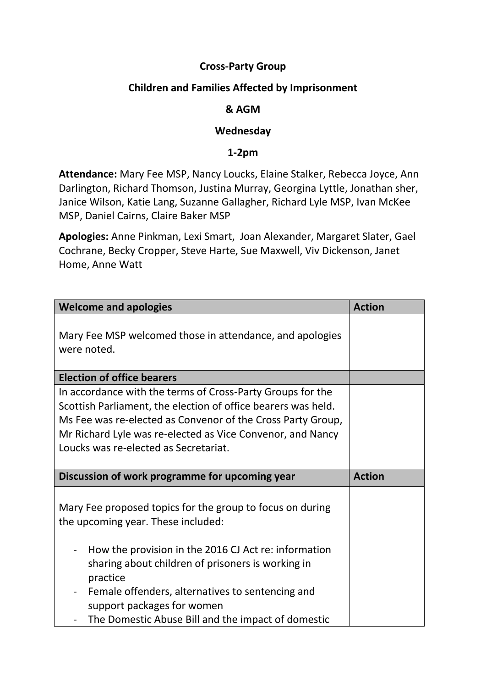## **Cross-Party Group**

# **Children and Families Affected by Imprisonment**

## **& AGM**

#### **Wednesday**

#### **1-2pm**

**Attendance:** Mary Fee MSP, Nancy Loucks, Elaine Stalker, Rebecca Joyce, Ann Darlington, Richard Thomson, Justina Murray, Georgina Lyttle, Jonathan sher, Janice Wilson, Katie Lang, Suzanne Gallagher, Richard Lyle MSP, Ivan McKee MSP, Daniel Cairns, Claire Baker MSP

**Apologies:** Anne Pinkman, Lexi Smart, Joan Alexander, Margaret Slater, Gael Cochrane, Becky Cropper, Steve Harte, Sue Maxwell, Viv Dickenson, Janet Home, Anne Watt

| <b>Welcome and apologies</b>                                                                                                                                                                                                                                                                      | <b>Action</b> |
|---------------------------------------------------------------------------------------------------------------------------------------------------------------------------------------------------------------------------------------------------------------------------------------------------|---------------|
| Mary Fee MSP welcomed those in attendance, and apologies<br>were noted.                                                                                                                                                                                                                           |               |
| <b>Election of office bearers</b>                                                                                                                                                                                                                                                                 |               |
| In accordance with the terms of Cross-Party Groups for the<br>Scottish Parliament, the election of office bearers was held.<br>Ms Fee was re-elected as Convenor of the Cross Party Group,<br>Mr Richard Lyle was re-elected as Vice Convenor, and Nancy<br>Loucks was re-elected as Secretariat. |               |
|                                                                                                                                                                                                                                                                                                   |               |
| Discussion of work programme for upcoming year                                                                                                                                                                                                                                                    | <b>Action</b> |
| Mary Fee proposed topics for the group to focus on during<br>the upcoming year. These included:                                                                                                                                                                                                   |               |
| How the provision in the 2016 CJ Act re: information<br>-<br>sharing about children of prisoners is working in<br>practice<br>Female offenders, alternatives to sentencing and<br>support packages for women                                                                                      |               |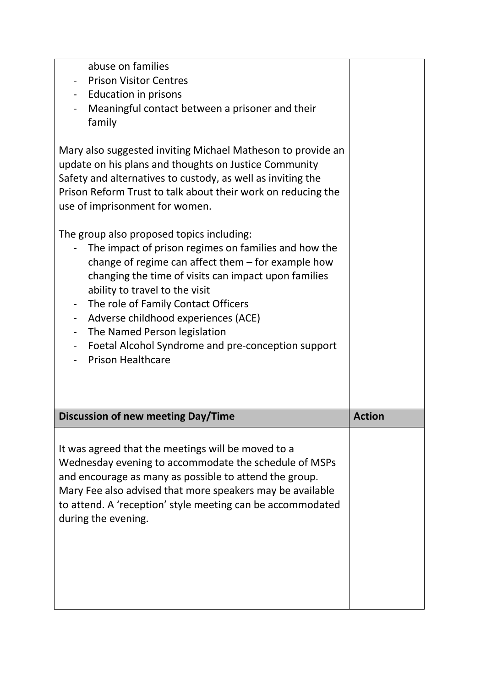| It was agreed that the meetings will be moved to a<br>Wednesday evening to accommodate the schedule of MSPs<br>and encourage as many as possible to attend the group.<br>Mary Fee also advised that more speakers may be available<br>to attend. A 'reception' style meeting can be accommodated<br>during the evening.                                                                                                                                                                                                                                   |               |
|-----------------------------------------------------------------------------------------------------------------------------------------------------------------------------------------------------------------------------------------------------------------------------------------------------------------------------------------------------------------------------------------------------------------------------------------------------------------------------------------------------------------------------------------------------------|---------------|
| <b>Discussion of new meeting Day/Time</b>                                                                                                                                                                                                                                                                                                                                                                                                                                                                                                                 | <b>Action</b> |
| The group also proposed topics including:<br>The impact of prison regimes on families and how the<br>change of regime can affect them $-$ for example how<br>changing the time of visits can impact upon families<br>ability to travel to the visit<br>The role of Family Contact Officers<br>Adverse childhood experiences (ACE)<br>$\blacksquare$<br>The Named Person legislation<br>$\overline{\phantom{a}}$<br>Foetal Alcohol Syndrome and pre-conception support<br>$\overline{\phantom{a}}$<br><b>Prison Healthcare</b><br>$\overline{\phantom{0}}$ |               |
| family<br>Mary also suggested inviting Michael Matheson to provide an<br>update on his plans and thoughts on Justice Community<br>Safety and alternatives to custody, as well as inviting the<br>Prison Reform Trust to talk about their work on reducing the<br>use of imprisonment for women.                                                                                                                                                                                                                                                           |               |
| abuse on families<br><b>Prison Visitor Centres</b><br><b>Education in prisons</b><br>Meaningful contact between a prisoner and their                                                                                                                                                                                                                                                                                                                                                                                                                      |               |